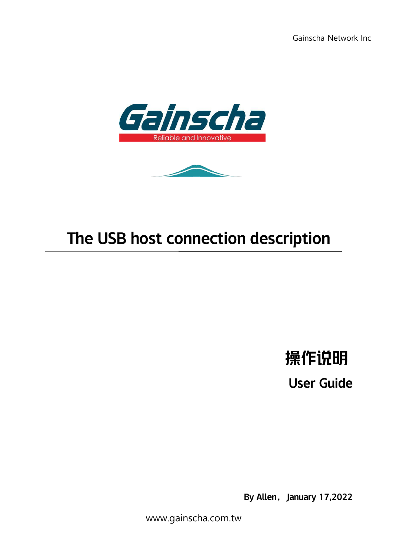Gainscha Network Inc





# The USB host connection description

操作说明

User Guide

By Allen, January 17,2022

www.gainscha.com.tw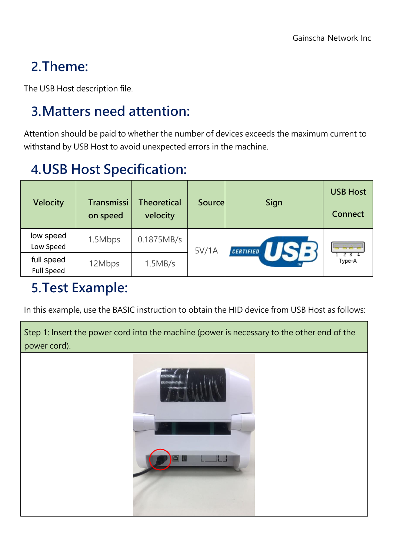# **2.Theme:**

The USB Host description file.

# **3.Matters need attention:**

Attention should be paid to whether the number of devices exceeds the maximum current to withstand by USB Host to avoid unexpected errors in the machine.

# **4.USB Host Specification:**

| <b>Velocity</b>                 | Transmissi<br>on speed | Theoretical<br>velocity | Source | Sign             | <b>USB Host</b><br><b>Connect</b> |  |
|---------------------------------|------------------------|-------------------------|--------|------------------|-----------------------------------|--|
| low speed<br>Low Speed          | 1.5Mbps                | 0.1875MB/s              | 5V/1A  | <b>CERTIFIED</b> | $\sigma \circ \sigma$<br>Type-A   |  |
| full speed<br><b>Full Speed</b> | 12Mbps                 | 1.5MB/s                 |        |                  |                                   |  |

### **5.Test Example:**

In this example, use the BASIC instruction to obtain the HID device from USB Host as follows:

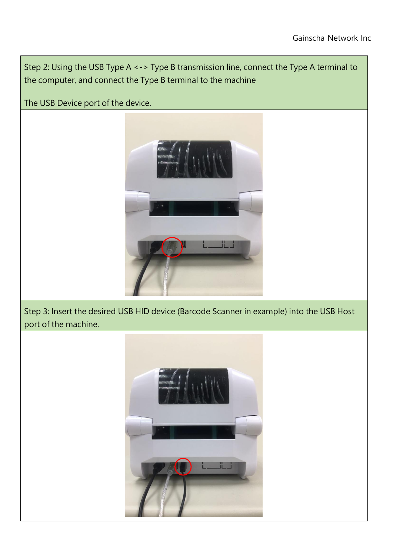Step 2: Using the USB Type A <-> Type B transmission line, connect the Type A terminal to the computer, and connect the Type B terminal to the machine

The USB Device port of the device.



Step 3: Insert the desired USB HID device (Barcode Scanner in example) into the USB Host port of the machine.

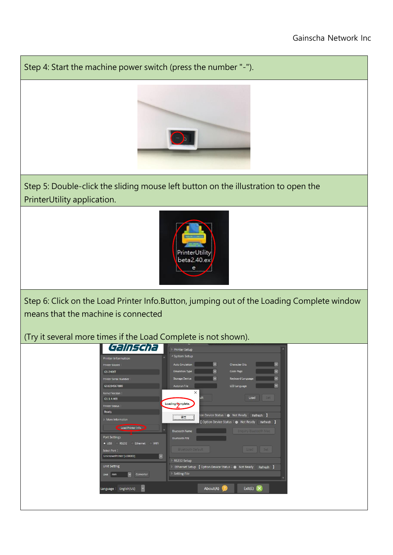#### Gainscha Network Inc

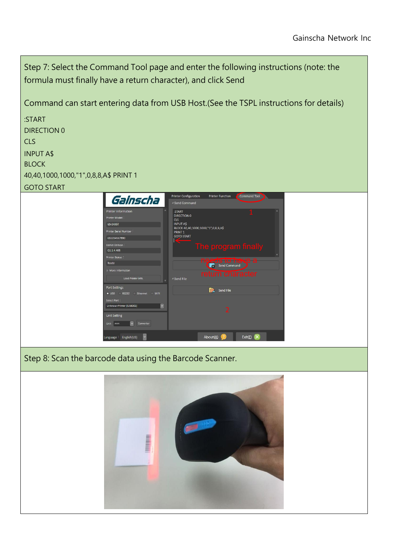Step 7: Select the Command Tool page and enter the following instructions (note: the formula must finally have a return character), and click Send Command can start entering data from USB Host.(Seethe TSPL instructions for details) :START DIRECTION 0 CLS INPUT A\$ BLOCK 40,40,1000,1000,"1",0,8,8,A\$ PRINT 1 GOTO START Printer Configuration Printer Function Command Tool Gainscha - Send Command :START<br>DIRECTION 0  $1 \quad \blacksquare$  $\overline{C}$ ULS<br>INPUT A\$<br>BLOCK 40,40,1000,1000,"1",0,8,8,A\$ **PRINT** PRINT 1<br>GOTO START CS1234567800 The program finally  $G1.1.4.$ **news to have** More In 4 Send File Load Printer Info Port Settings Send File  $\bullet$  USB **RS232** ter [USB002]  $\sim$ 2 and 2 and 2 and 2 and 2 and 2 and 2 and 2 and 2 and 2 and 2 and 2 and 2 and 2 and 2 and 2 and 2 and 2 and 2 **Unit Setting** Unit  $mm$   $\vee$  Converter Language: English(US)  $\sqrt{}$ About $(A)$ Exit(E) X Step 8: Scan the barcode data using the Barcode Scanner.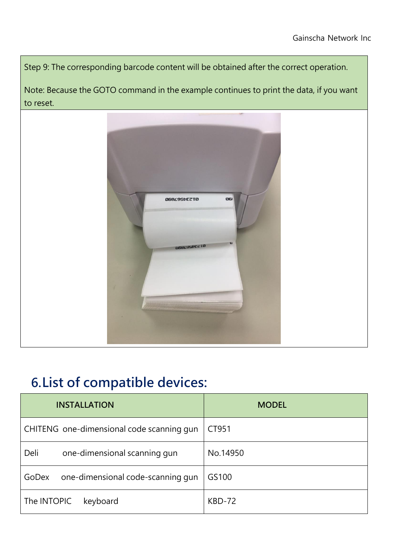Step 9: The corresponding barcode content will be obtained after the correct operation.

Note: Because the GOTO command in the example continues to print the data, if you want to reset.



### **6.List of compatible devices:**

| <b>INSTALLATION</b>                        | <b>MODEL</b> |
|--------------------------------------------|--------------|
| CHITENG one-dimensional code scanning gun  | CT951        |
| Deli<br>one-dimensional scanning gun       | No.14950     |
| one-dimensional code-scanning gun<br>GoDex | GS100        |
| The INTOPIC<br>keyboard                    | KBD-72       |